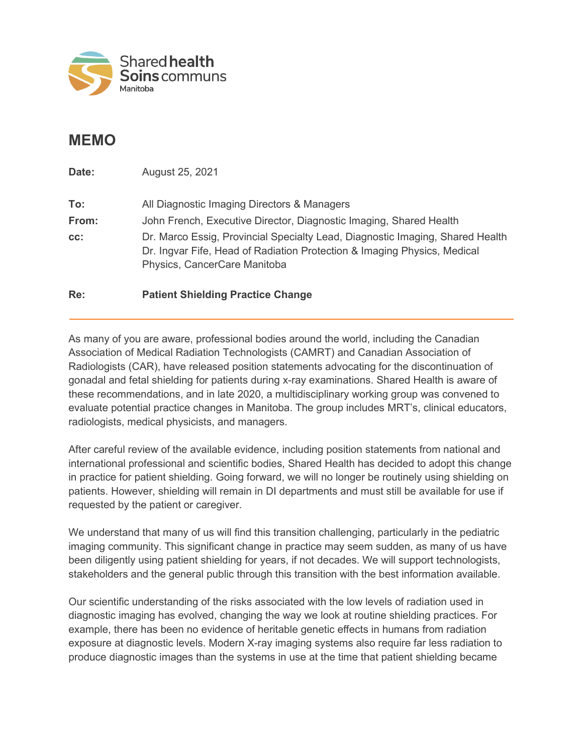

## **MEMO**

**Date:** August 25, 2021 **To:** All Diagnostic Imaging Directors & Managers **From:** John French, Executive Director, Diagnostic Imaging, Shared Health **cc:** Dr. Marco Essig, Provincial Specialty Lead, Diagnostic Imaging, Shared Health Dr. Ingvar Fife, Head of Radiation Protection & Imaging Physics, Medical Physics, CancerCare Manitoba

## **Re: Patient Shielding Practice Change**

As many of you are aware, professional bodies around the world, including the Canadian Association of Medical Radiation Technologists (CAMRT) and Canadian Association of Radiologists (CAR), have released position statements advocating for the discontinuation of gonadal and fetal shielding for patients during x-ray examinations. Shared Health is aware of these recommendations, and in late 2020, a multidisciplinary working group was convened to evaluate potential practice changes in Manitoba. The group includes MRT's, clinical educators, radiologists, medical physicists, and managers.

After careful review of the available evidence, including position statements from national and international professional and scientific bodies, Shared Health has decided to adopt this change in practice for patient shielding. Going forward, we will no longer be routinely using shielding on patients. However, shielding will remain in DI departments and must still be available for use if requested by the patient or caregiver.

We understand that many of us will find this transition challenging, particularly in the pediatric imaging community. This significant change in practice may seem sudden, as many of us have been diligently using patient shielding for years, if not decades. We will support technologists, stakeholders and the general public through this transition with the best information available.

Our scientific understanding of the risks associated with the low levels of radiation used in diagnostic imaging has evolved, changing the way we look at routine shielding practices. For example, there has been no evidence of heritable genetic effects in humans from radiation exposure at diagnostic levels. Modern X-ray imaging systems also require far less radiation to produce diagnostic images than the systems in use at the time that patient shielding became